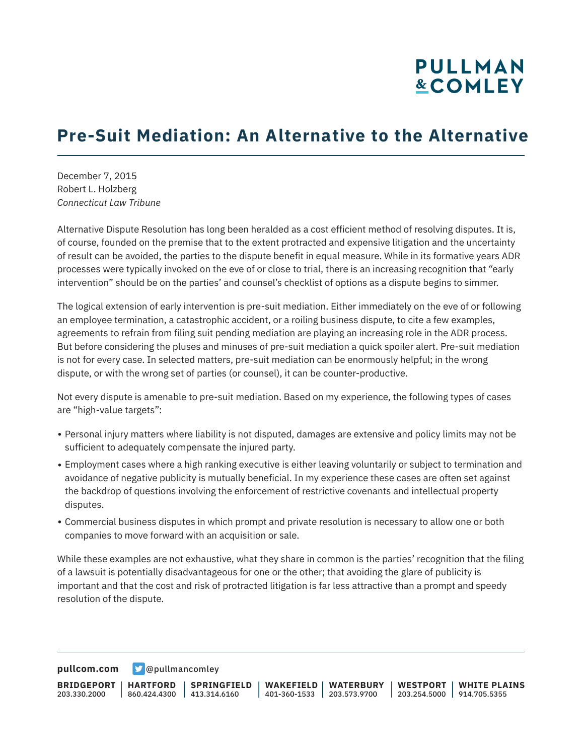## **PULLMAN &COMLEY**

## **Pre-Suit Mediation: An Alternative to the Alternative**

December 7, 2015 Robert L. Holzberg *Connecticut Law Tribune*

Alternative Dispute Resolution has long been heralded as a cost efficient method of resolving disputes. It is, of course, founded on the premise that to the extent protracted and expensive litigation and the uncertainty of result can be avoided, the parties to the dispute benefit in equal measure. While in its formative years ADR processes were typically invoked on the eve of or close to trial, there is an increasing recognition that "early intervention" should be on the parties' and counsel's checklist of options as a dispute begins to simmer.

The logical extension of early intervention is pre-suit mediation. Either immediately on the eve of or following an employee termination, a catastrophic accident, or a roiling business dispute, to cite a few examples, agreements to refrain from filing suit pending mediation are playing an increasing role in the ADR process. But before considering the pluses and minuses of pre-suit mediation a quick spoiler alert. Pre-suit mediation is not for every case. In selected matters, pre-suit mediation can be enormously helpful; in the wrong dispute, or with the wrong set of parties (or counsel), it can be counter-productive.

Not every dispute is amenable to pre-suit mediation. Based on my experience, the following types of cases are "high-value targets":

- Personal injury matters where liability is not disputed, damages are extensive and policy limits may not be sufficient to adequately compensate the injured party.
- Employment cases where a high ranking executive is either leaving voluntarily or subject to termination and avoidance of negative publicity is mutually beneficial. In my experience these cases are often set against the backdrop of questions involving the enforcement of restrictive covenants and intellectual property disputes.
- Commercial business disputes in which prompt and private resolution is necessary to allow one or both companies to move forward with an acquisition or sale.

While these examples are not exhaustive, what they share in common is the parties' recognition that the filing of a lawsuit is potentially disadvantageous for one or the other; that avoiding the glare of publicity is important and that the cost and risk of protracted litigation is far less attractive than a prompt and speedy resolution of the dispute.

**[pullcom.com](https://www.pullcom.com) g** [@pullmancomley](https://twitter.com/PullmanComley)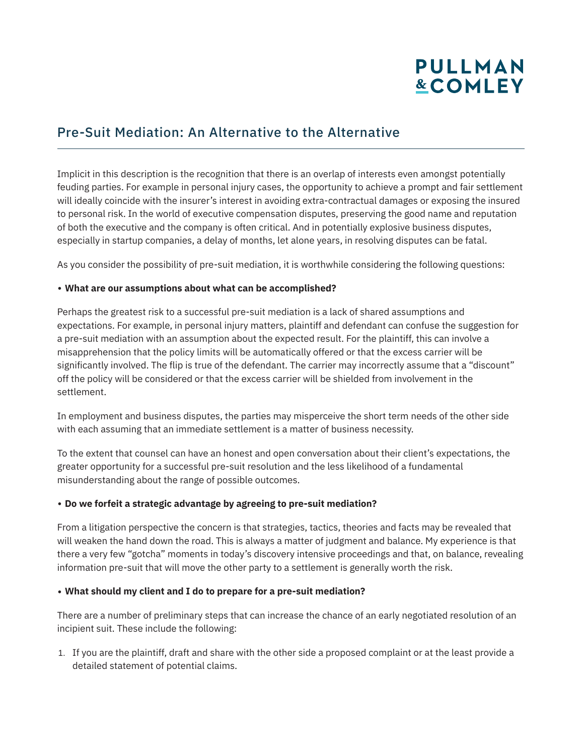# **PULLMAN &COMLEY**

### Pre-Suit Mediation: An Alternative to the Alternative

Implicit in this description is the recognition that there is an overlap of interests even amongst potentially feuding parties. For example in personal injury cases, the opportunity to achieve a prompt and fair settlement will ideally coincide with the insurer's interest in avoiding extra-contractual damages or exposing the insured to personal risk. In the world of executive compensation disputes, preserving the good name and reputation of both the executive and the company is often critical. And in potentially explosive business disputes, especially in startup companies, a delay of months, let alone years, in resolving disputes can be fatal.

As you consider the possibility of pre-suit mediation, it is worthwhile considering the following questions:

#### ● **What are our assumptions about what can be accomplished?**

Perhaps the greatest risk to a successful pre-suit mediation is a lack of shared assumptions and expectations. For example, in personal injury matters, plaintiff and defendant can confuse the suggestion for a pre-suit mediation with an assumption about the expected result. For the plaintiff, this can involve a misapprehension that the policy limits will be automatically offered or that the excess carrier will be significantly involved. The flip is true of the defendant. The carrier may incorrectly assume that a "discount" off the policy will be considered or that the excess carrier will be shielded from involvement in the settlement.

In employment and business disputes, the parties may misperceive the short term needs of the other side with each assuming that an immediate settlement is a matter of business necessity.

To the extent that counsel can have an honest and open conversation about their client's expectations, the greater opportunity for a successful pre-suit resolution and the less likelihood of a fundamental misunderstanding about the range of possible outcomes.

#### ● **Do we forfeit a strategic advantage by agreeing to pre-suit mediation?**

From a litigation perspective the concern is that strategies, tactics, theories and facts may be revealed that will weaken the hand down the road. This is always a matter of judgment and balance. My experience is that there a very few "gotcha" moments in today's discovery intensive proceedings and that, on balance, revealing information pre-suit that will move the other party to a settlement is generally worth the risk.

#### ● **What should my client and I do to prepare for a pre-suit mediation?**

There are a number of preliminary steps that can increase the chance of an early negotiated resolution of an incipient suit. These include the following:

1. If you are the plaintiff, draft and share with the other side a proposed complaint or at the least provide a detailed statement of potential claims.